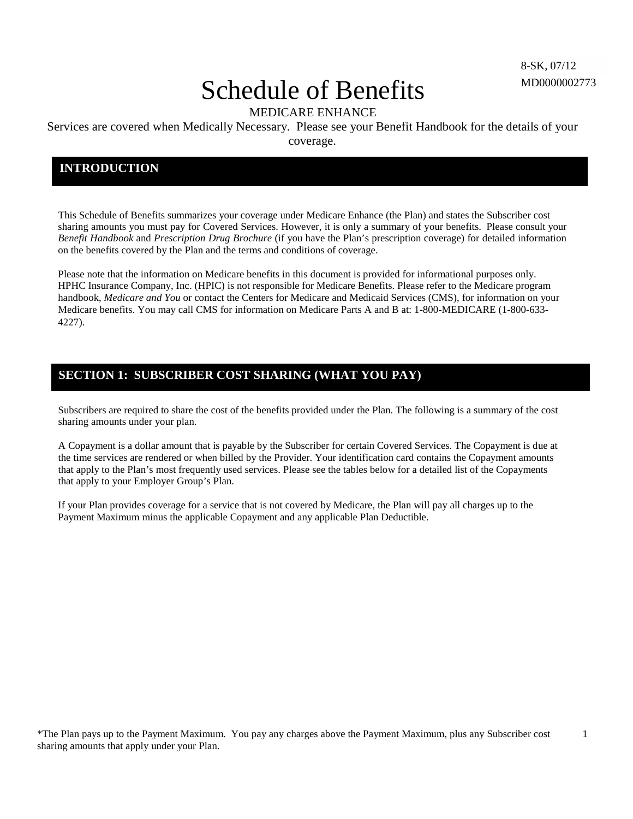1

# Schedule of Benefits

MEDICARE ENHANCE

Services are covered when Medically Necessary. Please see your Benefit Handbook for the details of your coverage.

### **INTRODUCTION**

This Schedule of Benefits summarizes your coverage under Medicare Enhance (the Plan) and states the Subscriber cost sharing amounts you must pay for Covered Services. However, it is only a summary of your benefits. Please consult your *Benefit Handbook* and *Prescription Drug Brochure* (if you have the Plan's prescription coverage) for detailed information on the benefits covered by the Plan and the terms and conditions of coverage.

Please note that the information on Medicare benefits in this document is provided for informational purposes only. HPHC Insurance Company, Inc. (HPIC) is not responsible for Medicare Benefits. Please refer to the Medicare program handbook, *Medicare and You* or contact the Centers for Medicare and Medicaid Services (CMS), for information on your Medicare benefits. You may call CMS for information on Medicare Parts A and B at: 1-800-MEDICARE (1-800-633- 4227).

## **SECTION 1: SUBSCRIBER COST SHARING (WHAT YOU PAY)**

Subscribers are required to share the cost of the benefits provided under the Plan. The following is a summary of the cost sharing amounts under your plan.

A Copayment is a dollar amount that is payable by the Subscriber for certain Covered Services. The Copayment is due at the time services are rendered or when billed by the Provider. Your identification card contains the Copayment amounts that apply to the Plan's most frequently used services. Please see the tables below for a detailed list of the Copayments that apply to your Employer Group's Plan.

If your Plan provides coverage for a service that is not covered by Medicare, the Plan will pay all charges up to the Payment Maximum minus the applicable Copayment and any applicable Plan Deductible.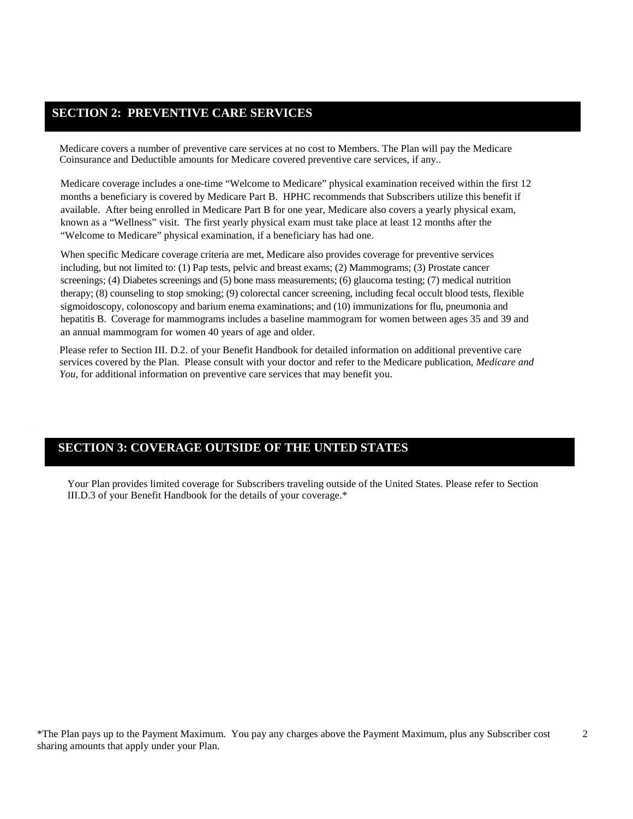### **SECTION 2: PREVENTIVE CARE SERVICES**

Medicare covers a number of preventive care services at no cost to Members. The Plan will pay the Medicare Coinsurance and Deductible amounts for Medicare covered preventive care services, if any..

Medicare coverage includes a one-time "Welcome to Medicare" physical examination received within the first 12 months a beneficiary is covered by Medicare Part B. HPHC recommends that Subscribers utilize this benefit if available. After being enrolled in Medicare Part B for one year, Medicare also covers a yearly physical exam, known as a "Wellness" visit. The first yearly physical exam must take place at least 12 months after the "Welcome to Medicare" physical examination, if a beneficiary has had one.

When specific Medicare coverage criteria are met, Medicare also provides coverage for preventive services including, but not limited to: (1) Pap tests, pelvic and breast exams; (2) Mammograms; (3) Prostate cancer screenings; (4) Diabetes screenings and (5) bone mass measurements; (6) glaucoma testing; (7) medical nutrition therapy; (8) counseling to stop smoking; (9) colorectal cancer screening, including fecal occult blood tests, flexible sigmoidoscopy, colonoscopy and barium enema examinations; and (10) immunizations for flu, pneumonia and hepatitis B. Coverage for mammograms includes a baseline mammogram for women between ages 35 and 39 and an annual mammogram for women 40 years of age and older.

Please refer to Section III. D.2. of your Benefit Handbook for detailed information on additional preventive care services covered by the Plan. Please consult with your doctor and refer to the Medicare publication, *Medicare and You,* for additional information on preventive care services that may benefit you.

### **SECTION 3: COVERAGE OUTSIDE OF THE UNTED STATES**

Your Plan provides limited coverage for Subscribers traveling outside of the United States. Please refer to Section III.D.3 of your Benefit Handbook for the details of your coverage.\*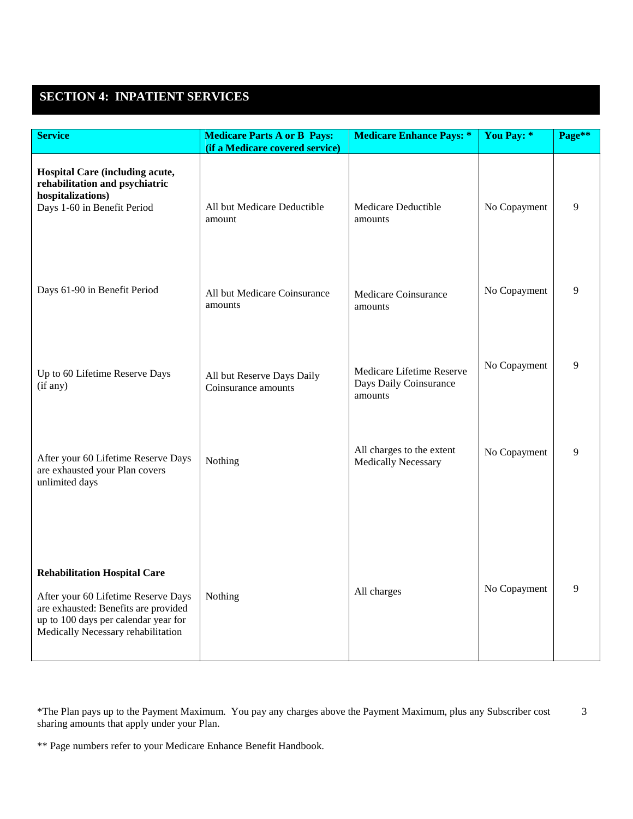# **SECTION 4: INPATIENT SERVICES**

| <b>Service</b>                                                                                                                                                                                   | <b>Medicare Parts A or B Pays:</b><br>(if a Medicare covered service) | <b>Medicare Enhance Pays: *</b>                                | You Pay: *   | Page** |
|--------------------------------------------------------------------------------------------------------------------------------------------------------------------------------------------------|-----------------------------------------------------------------------|----------------------------------------------------------------|--------------|--------|
| Hospital Care (including acute,<br>rehabilitation and psychiatric<br>hospitalizations)<br>Days 1-60 in Benefit Period                                                                            | All but Medicare Deductible<br>amount                                 | Medicare Deductible<br>amounts                                 | No Copayment | 9      |
| Days 61-90 in Benefit Period                                                                                                                                                                     | All but Medicare Coinsurance<br>amounts                               | Medicare Coinsurance<br>amounts                                | No Copayment | 9      |
| Up to 60 Lifetime Reserve Days<br>(if any)                                                                                                                                                       | All but Reserve Days Daily<br>Coinsurance amounts                     | Medicare Lifetime Reserve<br>Days Daily Coinsurance<br>amounts | No Copayment | 9      |
| After your 60 Lifetime Reserve Days<br>are exhausted your Plan covers<br>unlimited days                                                                                                          | Nothing                                                               | All charges to the extent<br><b>Medically Necessary</b>        | No Copayment | 9      |
| <b>Rehabilitation Hospital Care</b><br>After your 60 Lifetime Reserve Days<br>are exhausted: Benefits are provided<br>up to 100 days per calendar year for<br>Medically Necessary rehabilitation | Nothing                                                               | All charges                                                    | No Copayment | 9      |

\*The Plan pays up to the Payment Maximum. You pay any charges above the Payment Maximum, plus any Subscriber cost 3 sharing amounts that apply under your Plan.

<sup>\*\*</sup> Page numbers refer to your Medicare Enhance Benefit Handbook.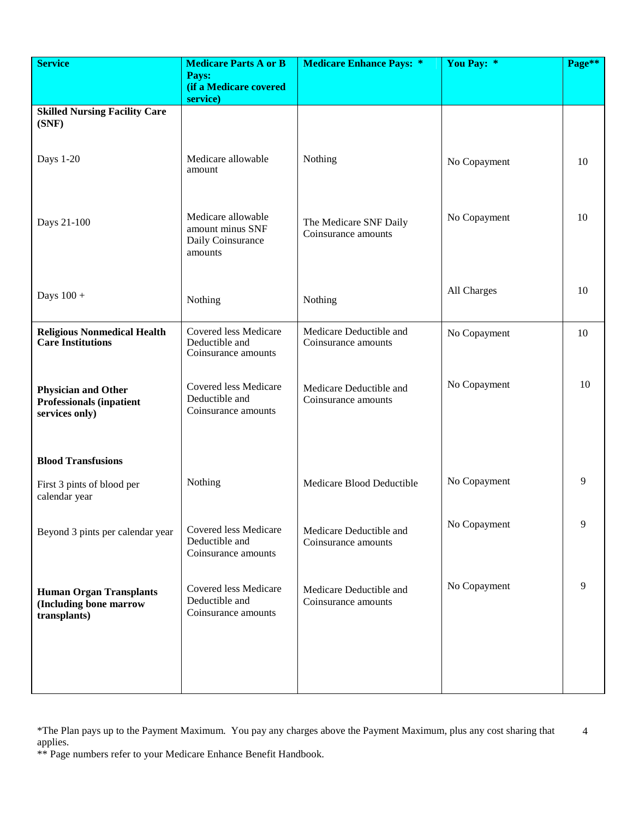| <b>Service</b>                                                                  | <b>Medicare Parts A or B</b>                                           | <b>Medicare Enhance Pays: *</b>                | You Pay: *   | Page** |
|---------------------------------------------------------------------------------|------------------------------------------------------------------------|------------------------------------------------|--------------|--------|
|                                                                                 | Pays:<br>(if a Medicare covered                                        |                                                |              |        |
|                                                                                 | service)                                                               |                                                |              |        |
| <b>Skilled Nursing Facility Care</b><br>(SNF)                                   |                                                                        |                                                |              |        |
| Days 1-20                                                                       | Medicare allowable<br>amount                                           | Nothing                                        | No Copayment | 10     |
| Days 21-100                                                                     | Medicare allowable<br>amount minus SNF<br>Daily Coinsurance<br>amounts | The Medicare SNF Daily<br>Coinsurance amounts  | No Copayment | 10     |
| Days $100 +$                                                                    | Nothing                                                                | Nothing                                        | All Charges  | 10     |
| <b>Religious Nonmedical Health</b><br><b>Care</b> Institutions                  | Covered less Medicare<br>Deductible and<br>Coinsurance amounts         | Medicare Deductible and<br>Coinsurance amounts | No Copayment | 10     |
| <b>Physician and Other</b><br><b>Professionals (inpatient</b><br>services only) | Covered less Medicare<br>Deductible and<br>Coinsurance amounts         | Medicare Deductible and<br>Coinsurance amounts | No Copayment | 10     |
| <b>Blood Transfusions</b>                                                       |                                                                        |                                                |              |        |
| First 3 pints of blood per<br>calendar year                                     | Nothing                                                                | Medicare Blood Deductible                      | No Copayment | 9      |
| Beyond 3 pints per calendar year                                                | Covered less Medicare<br>Deductible and<br>Coinsurance amounts         | Medicare Deductible and<br>Coinsurance amounts | No Copayment | 9      |
| <b>Human Organ Transplants</b><br>(Including bone marrow<br>transplants)        | Covered less Medicare<br>Deductible and<br>Coinsurance amounts         | Medicare Deductible and<br>Coinsurance amounts | No Copayment | 9      |
|                                                                                 |                                                                        |                                                |              |        |

<sup>\*</sup>The Plan pays up to the Payment Maximum. You pay any charges above the Payment Maximum, plus any cost sharing that applies. 4

<sup>\*\*</sup> Page numbers refer to your Medicare Enhance Benefit Handbook.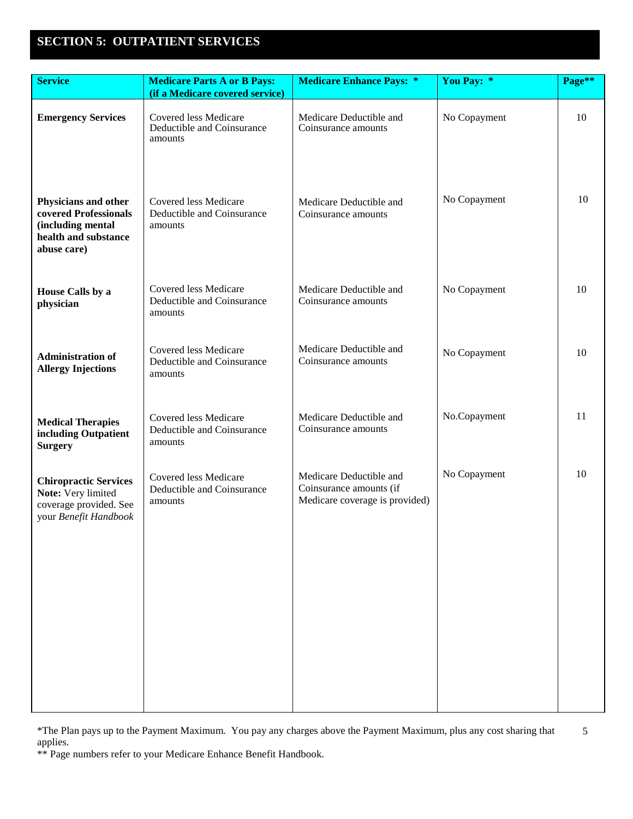# **SECTION 5: OUTPATIENT SERVICES**

| <b>Service</b>                                                                                            | <b>Medicare Parts A or B Pays:</b><br>(if a Medicare covered service) | <b>Medicare Enhance Pays: *</b>                                                      | You Pay: *   | Page** |
|-----------------------------------------------------------------------------------------------------------|-----------------------------------------------------------------------|--------------------------------------------------------------------------------------|--------------|--------|
| <b>Emergency Services</b>                                                                                 | Covered less Medicare<br>Deductible and Coinsurance<br>amounts        | Medicare Deductible and<br>Coinsurance amounts                                       | No Copayment | 10     |
| Physicians and other<br>covered Professionals<br>(including mental<br>health and substance<br>abuse care) | Covered less Medicare<br>Deductible and Coinsurance<br>amounts        | Medicare Deductible and<br>Coinsurance amounts                                       | No Copayment | 10     |
| <b>House Calls by a</b><br>physician                                                                      | Covered less Medicare<br>Deductible and Coinsurance<br>amounts        | Medicare Deductible and<br>Coinsurance amounts                                       | No Copayment | 10     |
| <b>Administration of</b><br><b>Allergy Injections</b>                                                     | Covered less Medicare<br>Deductible and Coinsurance<br>amounts        | Medicare Deductible and<br>Coinsurance amounts                                       | No Copayment | 10     |
| <b>Medical Therapies</b><br>including Outpatient<br><b>Surgery</b>                                        | Covered less Medicare<br>Deductible and Coinsurance<br>amounts        | Medicare Deductible and<br>Coinsurance amounts                                       | No.Copayment | 11     |
| <b>Chiropractic Services</b><br>Note: Very limited<br>coverage provided. See<br>your Benefit Handbook     | Covered less Medicare<br>Deductible and Coinsurance<br>amounts        | Medicare Deductible and<br>Coinsurance amounts (if<br>Medicare coverage is provided) | No Copayment | 10     |
|                                                                                                           |                                                                       |                                                                                      |              |        |
|                                                                                                           |                                                                       |                                                                                      |              |        |
|                                                                                                           |                                                                       |                                                                                      |              |        |

\*The Plan pays up to the Payment Maximum. You pay any charges above the Payment Maximum, plus any cost sharing that applies. 5

\*\* Page numbers refer to your Medicare Enhance Benefit Handbook.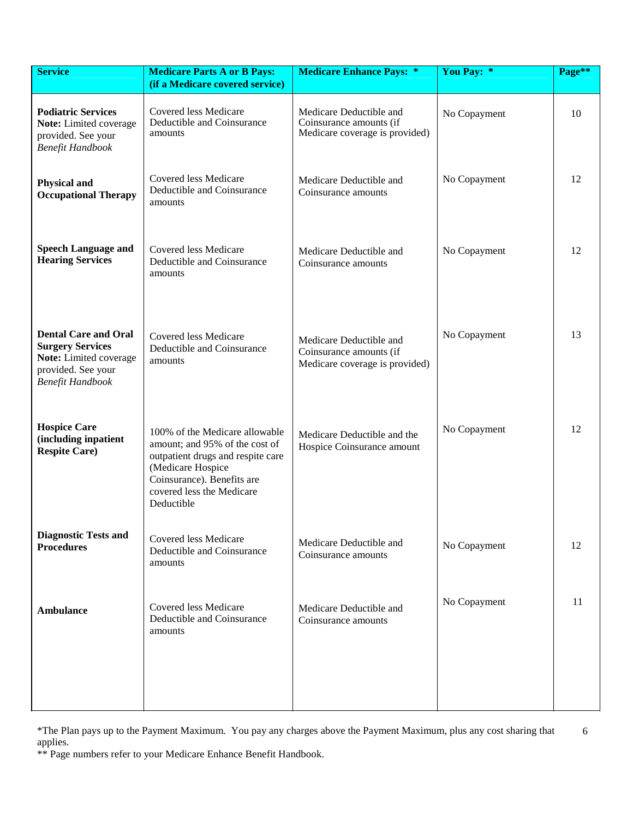| <b>Service</b>                                                                                                                    | <b>Medicare Parts A or B Pays:</b><br>(if a Medicare covered service)                                                                                                                               | <b>Medicare Enhance Pays: *</b>                                                      | You Pay: *   | Page** |
|-----------------------------------------------------------------------------------------------------------------------------------|-----------------------------------------------------------------------------------------------------------------------------------------------------------------------------------------------------|--------------------------------------------------------------------------------------|--------------|--------|
| <b>Podiatric Services</b><br>Note: Limited coverage<br>provided. See your<br><b>Benefit Handbook</b>                              | Covered less Medicare<br>Deductible and Coinsurance<br>amounts                                                                                                                                      | Medicare Deductible and<br>Coinsurance amounts (if<br>Medicare coverage is provided) | No Copayment | 10     |
| <b>Physical and</b><br><b>Occupational Therapy</b>                                                                                | Covered less Medicare<br>Deductible and Coinsurance<br>amounts                                                                                                                                      | Medicare Deductible and<br>Coinsurance amounts                                       | No Copayment | 12     |
| <b>Speech Language and</b><br><b>Hearing Services</b>                                                                             | Covered less Medicare<br>Deductible and Coinsurance<br>amounts                                                                                                                                      | Medicare Deductible and<br>Coinsurance amounts                                       | No Copayment | 12     |
| <b>Dental Care and Oral</b><br><b>Surgery Services</b><br>Note: Limited coverage<br>provided. See your<br><b>Benefit Handbook</b> | Covered less Medicare<br>Deductible and Coinsurance<br>amounts                                                                                                                                      | Medicare Deductible and<br>Coinsurance amounts (if<br>Medicare coverage is provided) | No Copayment | 13     |
| <b>Hospice Care</b><br>(including inpatient<br><b>Respite Care)</b>                                                               | 100% of the Medicare allowable<br>amount; and 95% of the cost of<br>outpatient drugs and respite care<br>(Medicare Hospice<br>Coinsurance). Benefits are<br>covered less the Medicare<br>Deductible | Medicare Deductible and the<br>Hospice Coinsurance amount                            | No Copayment | 12     |
| <b>Diagnostic Tests and</b><br><b>Procedures</b>                                                                                  | Covered less Medicare<br>Deductible and Coinsurance<br>amounts                                                                                                                                      | Medicare Deductible and<br>Coinsurance amounts                                       | No Copayment | 12     |
| <b>Ambulance</b>                                                                                                                  | <b>Covered less Medicare</b><br>Deductible and Coinsurance<br>amounts                                                                                                                               | Medicare Deductible and<br>Coinsurance amounts                                       | No Copayment | 11     |
|                                                                                                                                   |                                                                                                                                                                                                     |                                                                                      |              |        |

\*The Plan pays up to the Payment Maximum. You pay any charges above the Payment Maximum, plus any cost sharing that applies. 6

\*\* Page numbers refer to your Medicare Enhance Benefit Handbook.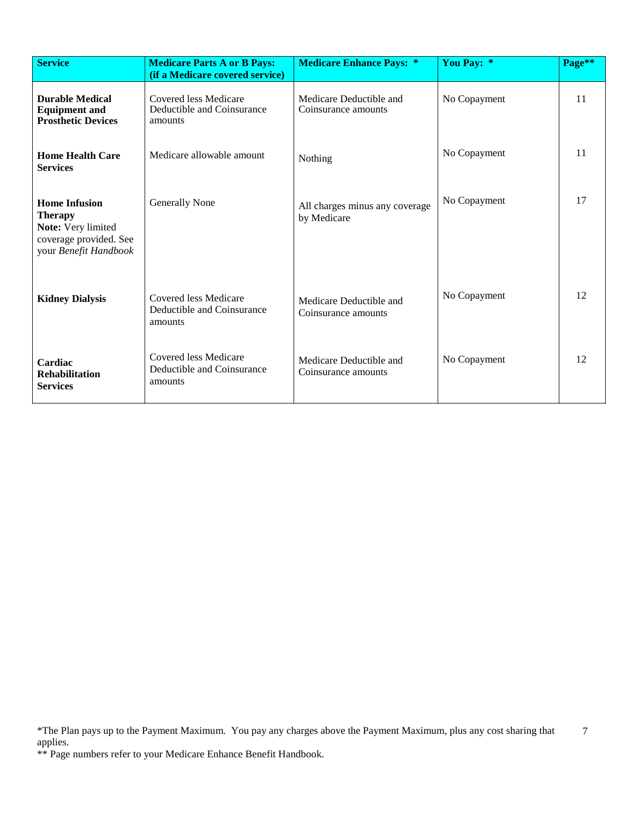| <b>Service</b>                                                                                                  | <b>Medicare Parts A or B Pays:</b><br>(if a Medicare covered service) | <b>Medicare Enhance Pays: *</b>                | You Pay: *   | Page** |
|-----------------------------------------------------------------------------------------------------------------|-----------------------------------------------------------------------|------------------------------------------------|--------------|--------|
| <b>Durable Medical</b><br><b>Equipment and</b><br><b>Prosthetic Devices</b>                                     | Covered less Medicare<br>Deductible and Coinsurance<br>amounts        | Medicare Deductible and<br>Coinsurance amounts | No Copayment | 11     |
| <b>Home Health Care</b><br><b>Services</b>                                                                      | Medicare allowable amount                                             | Nothing                                        | No Copayment | 11     |
| <b>Home Infusion</b><br><b>Therapy</b><br>Note: Very limited<br>coverage provided. See<br>your Benefit Handbook | <b>Generally None</b>                                                 | All charges minus any coverage<br>by Medicare  | No Copayment | 17     |
| <b>Kidney Dialysis</b>                                                                                          | Covered less Medicare<br>Deductible and Coinsurance<br>amounts        | Medicare Deductible and<br>Coinsurance amounts | No Copayment | 12     |
| Cardiac<br><b>Rehabilitation</b><br><b>Services</b>                                                             | Covered less Medicare<br>Deductible and Coinsurance<br>amounts        | Medicare Deductible and<br>Coinsurance amounts | No Copayment | 12     |

<sup>\*</sup>The Plan pays up to the Payment Maximum. You pay any charges above the Payment Maximum, plus any cost sharing that applies. 7

<sup>\*\*</sup> Page numbers refer to your Medicare Enhance Benefit Handbook.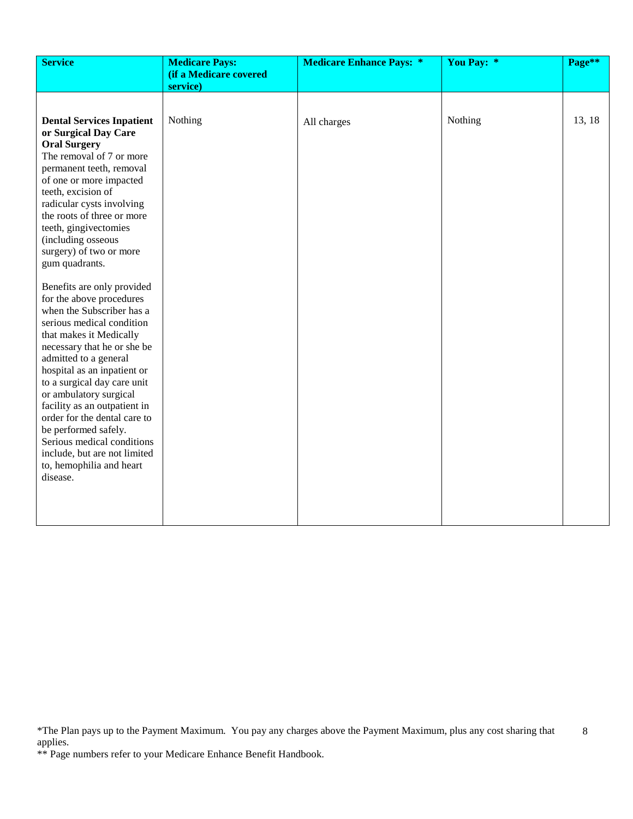| <b>Service</b>                                                                                                                                                                                                                                                                                                                                                                                                                                                                            | <b>Medicare Pays:</b><br>(if a Medicare covered | <b>Medicare Enhance Pays: *</b> | You Pay: * | Page** |
|-------------------------------------------------------------------------------------------------------------------------------------------------------------------------------------------------------------------------------------------------------------------------------------------------------------------------------------------------------------------------------------------------------------------------------------------------------------------------------------------|-------------------------------------------------|---------------------------------|------------|--------|
|                                                                                                                                                                                                                                                                                                                                                                                                                                                                                           | service)                                        |                                 |            |        |
|                                                                                                                                                                                                                                                                                                                                                                                                                                                                                           |                                                 |                                 |            |        |
| <b>Dental Services Inpatient</b><br>or Surgical Day Care<br><b>Oral Surgery</b><br>The removal of 7 or more<br>permanent teeth, removal<br>of one or more impacted<br>teeth, excision of<br>radicular cysts involving<br>the roots of three or more<br>teeth, gingivectomies<br>(including osseous<br>surgery) of two or more<br>gum quadrants.                                                                                                                                           | Nothing                                         | All charges                     | Nothing    | 13, 18 |
| Benefits are only provided<br>for the above procedures<br>when the Subscriber has a<br>serious medical condition<br>that makes it Medically<br>necessary that he or she be<br>admitted to a general<br>hospital as an inpatient or<br>to a surgical day care unit<br>or ambulatory surgical<br>facility as an outpatient in<br>order for the dental care to<br>be performed safely.<br>Serious medical conditions<br>include, but are not limited<br>to, hemophilia and heart<br>disease. |                                                 |                                 |            |        |

<sup>\*</sup>The Plan pays up to the Payment Maximum. You pay any charges above the Payment Maximum, plus any cost sharing that applies. 8

<sup>\*\*</sup> Page numbers refer to your Medicare Enhance Benefit Handbook.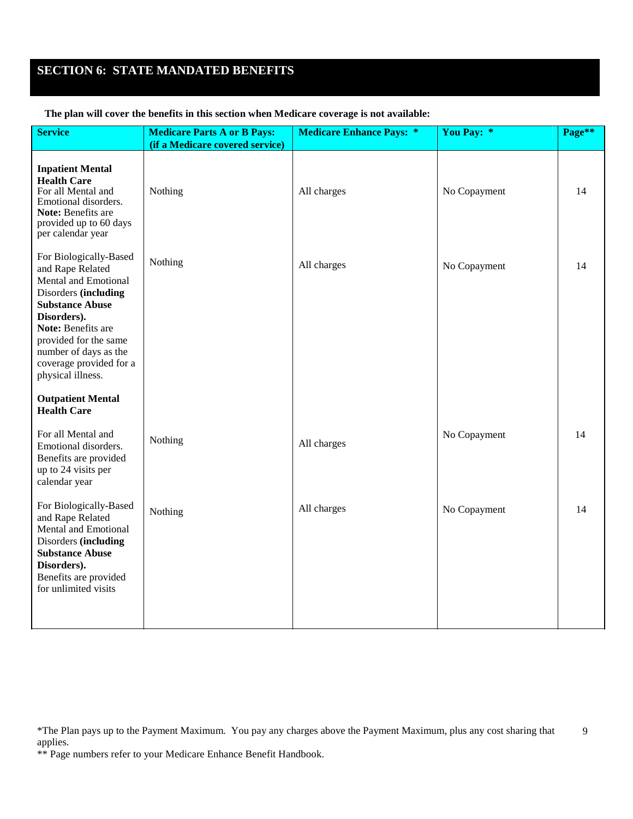# **SECTION 6: STATE MANDATED BENEFITS**

### **The plan will cover the benefits in this section when Medicare coverage is not available:**

| <b>Service</b>                                                                                                                                                                                                                                              | <b>Medicare Parts A or B Pays:</b> | <b>Medicare Enhance Pays: *</b> | You Pay: *   | Page** |
|-------------------------------------------------------------------------------------------------------------------------------------------------------------------------------------------------------------------------------------------------------------|------------------------------------|---------------------------------|--------------|--------|
|                                                                                                                                                                                                                                                             | (if a Medicare covered service)    |                                 |              |        |
| <b>Inpatient Mental</b><br><b>Health Care</b><br>For all Mental and<br>Emotional disorders.<br>Note: Benefits are<br>provided up to 60 days<br>per calendar year                                                                                            | Nothing                            | All charges                     | No Copayment | 14     |
| For Biologically-Based<br>and Rape Related<br>Mental and Emotional<br>Disorders (including<br><b>Substance Abuse</b><br>Disorders).<br>Note: Benefits are<br>provided for the same<br>number of days as the<br>coverage provided for a<br>physical illness. | Nothing                            | All charges                     | No Copayment | 14     |
| <b>Outpatient Mental</b><br><b>Health Care</b>                                                                                                                                                                                                              |                                    |                                 |              |        |
| For all Mental and<br>Emotional disorders.<br>Benefits are provided<br>up to 24 visits per<br>calendar year                                                                                                                                                 | Nothing                            | All charges                     | No Copayment | 14     |
| For Biologically-Based<br>and Rape Related<br>Mental and Emotional<br>Disorders (including<br><b>Substance Abuse</b><br>Disorders).<br>Benefits are provided<br>for unlimited visits                                                                        | Nothing                            | All charges                     | No Copayment | 14     |

\*\* Page numbers refer to your Medicare Enhance Benefit Handbook.

<sup>\*</sup>The Plan pays up to the Payment Maximum. You pay any charges above the Payment Maximum, plus any cost sharing that applies. 9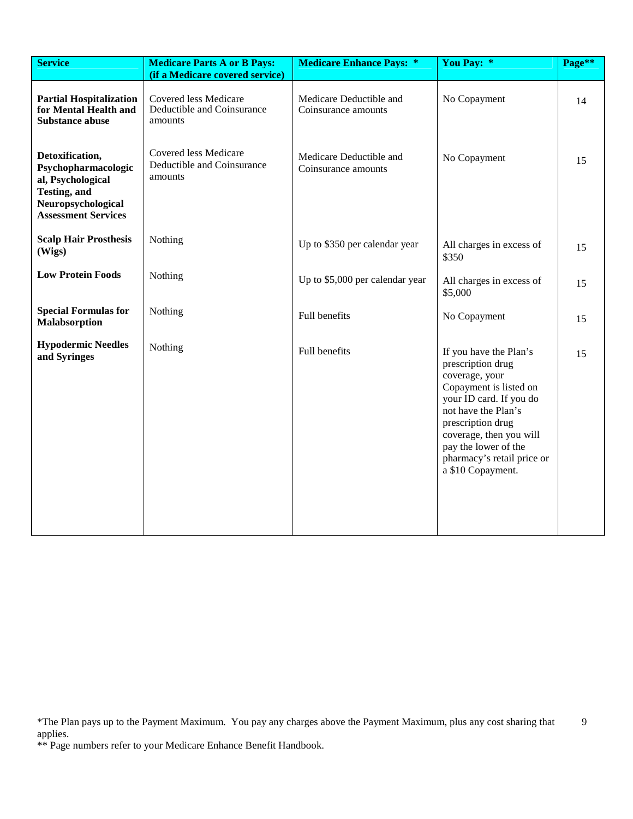| <b>Service</b>                                                                                                                  | <b>Medicare Parts A or B Pays:</b><br>(if a Medicare covered service) | <b>Medicare Enhance Pays: *</b>                | You Pay: *                                                                                                                                                                                                                                                           | Page** |
|---------------------------------------------------------------------------------------------------------------------------------|-----------------------------------------------------------------------|------------------------------------------------|----------------------------------------------------------------------------------------------------------------------------------------------------------------------------------------------------------------------------------------------------------------------|--------|
| <b>Partial Hospitalization</b><br>for Mental Health and<br><b>Substance abuse</b>                                               | Covered less Medicare<br>Deductible and Coinsurance<br>amounts        | Medicare Deductible and<br>Coinsurance amounts | No Copayment                                                                                                                                                                                                                                                         | 14     |
| Detoxification,<br>Psychopharmacologic<br>al, Psychological<br>Testing, and<br>Neuropsychological<br><b>Assessment Services</b> | <b>Covered less Medicare</b><br>Deductible and Coinsurance<br>amounts | Medicare Deductible and<br>Coinsurance amounts | No Copayment                                                                                                                                                                                                                                                         | 15     |
| <b>Scalp Hair Prosthesis</b><br>(Wigs)                                                                                          | Nothing                                                               | Up to \$350 per calendar year                  | All charges in excess of<br>\$350                                                                                                                                                                                                                                    | 15     |
| <b>Low Protein Foods</b>                                                                                                        | Nothing                                                               | Up to \$5,000 per calendar year                | All charges in excess of<br>\$5,000                                                                                                                                                                                                                                  | 15     |
| <b>Special Formulas for</b><br><b>Malabsorption</b>                                                                             | Nothing                                                               | Full benefits                                  | No Copayment                                                                                                                                                                                                                                                         | 15     |
| <b>Hypodermic Needles</b><br>and Syringes                                                                                       | Nothing                                                               | Full benefits                                  | If you have the Plan's<br>prescription drug<br>coverage, your<br>Copayment is listed on<br>your ID card. If you do<br>not have the Plan's<br>prescription drug<br>coverage, then you will<br>pay the lower of the<br>pharmacy's retail price or<br>a \$10 Copayment. | 15     |

<sup>\*</sup>The Plan pays up to the Payment Maximum. You pay any charges above the Payment Maximum, plus any cost sharing that 9 applies.

<sup>\*\*</sup> Page numbers refer to your Medicare Enhance Benefit Handbook.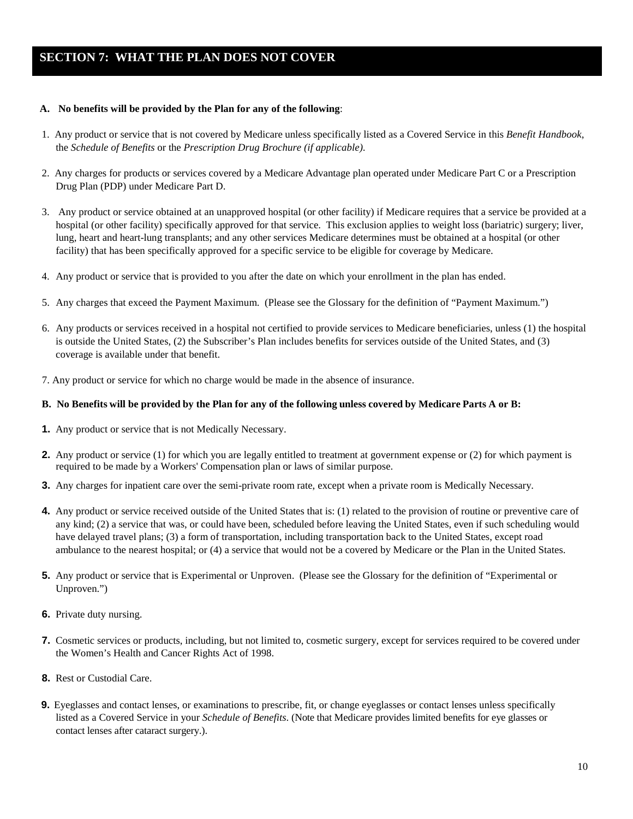# **SECTION 7: WHAT THE PLAN DOES NOT COVER**

#### **A. No benefits will be provided by the Plan for any of the following**:

- 1. Any product or service that is not covered by Medicare unless specifically listed as a Covered Service in this *Benefit Handbook*, the *Schedule of Benefits* or the *Prescription Drug Brochure (if applicable)*.
- 2. Any charges for products or services covered by a Medicare Advantage plan operated under Medicare Part C or a Prescription Drug Plan (PDP) under Medicare Part D.
- 3. Any product or service obtained at an unapproved hospital (or other facility) if Medicare requires that a service be provided at a hospital (or other facility) specifically approved for that service. This exclusion applies to weight loss (bariatric) surgery; liver, lung, heart and heart-lung transplants; and any other services Medicare determines must be obtained at a hospital (or other facility) that has been specifically approved for a specific service to be eligible for coverage by Medicare.
- 4. Any product or service that is provided to you after the date on which your enrollment in the plan has ended.
- 5. Any charges that exceed the Payment Maximum. (Please see the Glossary for the definition of "Payment Maximum.")
- 6. Any products or services received in a hospital not certified to provide services to Medicare beneficiaries, unless (1) the hospital is outside the United States, (2) the Subscriber's Plan includes benefits for services outside of the United States, and (3) coverage is available under that benefit.
- 7. Any product or service for which no charge would be made in the absence of insurance.

#### B. No Benefits will be provided by the Plan for any of the following unless covered by Medicare Parts A or B:

- **1.** Any product or service that is not Medically Necessary.
- **2.** Any product or service (1) for which you are legally entitled to treatment at government expense or (2) for which payment is required to be made by a Workers' Compensation plan or laws of similar purpose.
- **3.** Any charges for inpatient care over the semi-private room rate, except when a private room is Medically Necessary.
- **4.** Any product or service received outside of the United States that is: (1) related to the provision of routine or preventive care of any kind; (2) a service that was, or could have been, scheduled before leaving the United States, even if such scheduling would have delayed travel plans; (3) a form of transportation, including transportation back to the United States, except road ambulance to the nearest hospital; or (4) a service that would not be a covered by Medicare or the Plan in the United States.
- **5.** Any product or service that is Experimental or Unproven. (Please see the Glossary for the definition of "Experimental or Unproven.")
- **6.** Private duty nursing.
- **7.** Cosmetic services or products, including, but not limited to, cosmetic surgery, except for services required to be covered under the Women's Health and Cancer Rights Act of 1998.
- **8.** Rest or Custodial Care.
- **9.** Eyeglasses and contact lenses, or examinations to prescribe, fit, or change eyeglasses or contact lenses unless specifically listed as a Covered Service in your *Schedule of Benefits*. (Note that Medicare provides limited benefits for eye glasses or contact lenses after cataract surgery.).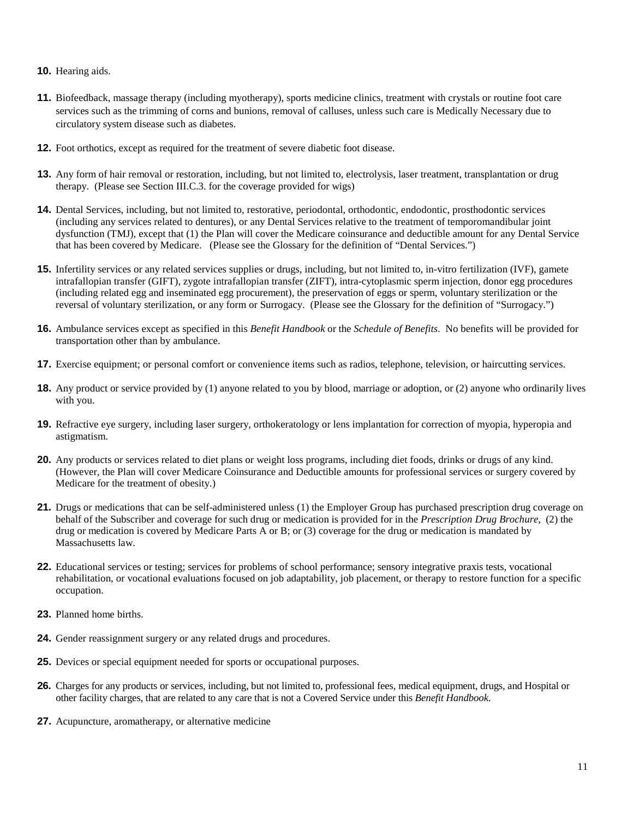- **10.** Hearing aids.
- **11.** Biofeedback, massage therapy (including myotherapy), sports medicine clinics, treatment with crystals or routine foot care services such as the trimming of corns and bunions, removal of calluses, unless such care is Medically Necessary due to circulatory system disease such as diabetes.
- **12.** Foot orthotics, except as required for the treatment of severe diabetic foot disease.
- **13.** Any form of hair removal or restoration, including, but not limited to, electrolysis, laser treatment, transplantation or drug therapy. (Please see Section III.C.3. for the coverage provided for wigs)
- **14.** Dental Services, including, but not limited to, restorative, periodontal, orthodontic, endodontic, prosthodontic services (including any services related to dentures), or any Dental Services relative to the treatment of temporomandibular joint dysfunction (TMJ), except that (1) the Plan will cover the Medicare coinsurance and deductible amount for any Dental Service that has been covered by Medicare. (Please see the Glossary for the definition of "Dental Services.")
- **15.** Infertility services or any related services supplies or drugs, including, but not limited to, in-vitro fertilization (IVF), gamete intrafallopian transfer (GIFT), zygote intrafallopian transfer (ZIFT), intra-cytoplasmic sperm injection, donor egg procedures (including related egg and inseminated egg procurement), the preservation of eggs or sperm, voluntary sterilization or the reversal of voluntary sterilization, or any form or Surrogacy. (Please see the Glossary for the definition of "Surrogacy.")
- **16.** Ambulance services except as specified in this *Benefit Handbook* or the *Schedule of Benefits*. No benefits will be provided for transportation other than by ambulance.
- **17.** Exercise equipment; or personal comfort or convenience items such as radios, telephone, television, or haircutting services.
- **18.** Any product or service provided by (1) anyone related to you by blood, marriage or adoption, or (2) anyone who ordinarily lives with you.
- **19.** Refractive eye surgery, including laser surgery, orthokeratology or lens implantation for correction of myopia, hyperopia and astigmatism.
- **20.** Any products or services related to diet plans or weight loss programs, including diet foods, drinks or drugs of any kind. (However, the Plan will cover Medicare Coinsurance and Deductible amounts for professional services or surgery covered by Medicare for the treatment of obesity.)
- **21.** Drugs or medications that can be self-administered unless (1) the Employer Group has purchased prescription drug coverage on behalf of the Subscriber and coverage for such drug or medication is provided for in the *Prescription Drug Brochure*, (2) the drug or medication is covered by Medicare Parts A or B; or (3) coverage for the drug or medication is mandated by Massachusetts law.
- **22.** Educational services or testing; services for problems of school performance; sensory integrative praxis tests, vocational rehabilitation, or vocational evaluations focused on job adaptability, job placement, or therapy to restore function for a specific occupation.
- **23.** Planned home births.
- **24.** Gender reassignment surgery or any related drugs and procedures.
- **25.** Devices or special equipment needed for sports or occupational purposes.
- **26.** Charges for any products or services, including, but not limited to, professional fees, medical equipment, drugs, and Hospital or other facility charges, that are related to any care that is not a Covered Service under this *Benefit Handbook*.
- **27.** Acupuncture, aromatherapy, or alternative medicine